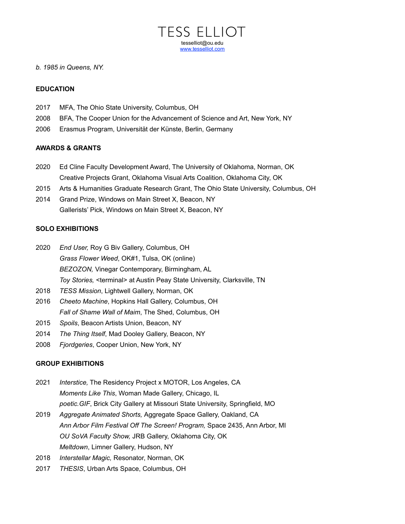

#### *b. 1985 in Queens, NY.*

#### **EDUCATION**

- 2017 MFA, The Ohio State University, Columbus, OH
- 2008 BFA, The Cooper Union for the Advancement of Science and Art, New York, NY
- 2006 Erasmus Program, Universität der Künste, Berlin, Germany

#### **AWARDS & GRANTS**

- 2020 Ed Cline Faculty Development Award, The University of Oklahoma, Norman, OK Creative Projects Grant, Oklahoma Visual Arts Coalition, Oklahoma City, OK
- 2015 Arts & Humanities Graduate Research Grant, The Ohio State University, Columbus, OH
- 2014 Grand Prize, Windows on Main Street X, Beacon, NY Gallerists' Pick, Windows on Main Street X, Beacon, NY

#### **SOLO EXHIBITIONS**

- 2020 *End User,* Roy G Biv Gallery, Columbus, OH *Grass Flower Weed*, OK#1, Tulsa, OK (online) *BEZOZON,* Vinegar Contemporary, Birmingham, AL *Toy Stories,* <terminal> at Austin Peay State University, Clarksville, TN
- 2018 *TESS Mission*, Lightwell Gallery, Norman, OK
- 2016 *Cheeto Machine*, Hopkins Hall Gallery, Columbus, OH *Fall of Shame Wall of Maim*, The Shed, Columbus, OH
- 2015 *Spoils*, Beacon Artists Union, Beacon, NY
- 2014 *The Thing Itself*, Mad Dooley Gallery, Beacon, NY
- 2008 *Fjordgeries*, Cooper Union, New York, NY

#### **GROUP EXHIBITIONS**

- 2021 *Interstice,* The Residency Project x MOTOR, Los Angeles, CA *Moments Like This*, Woman Made Gallery, Chicago, IL *poetic.GIF*, Brick City Gallery at Missouri State University, Springfield, MO
- 2019 *Aggregate Animated Shorts,* Aggregate Space Gallery, Oakland, CA *Ann Arbor Film Festival Off The Screen! Program,* Space 2435, Ann Arbor, MI *OU SoVA Faculty Show,* JRB Gallery, Oklahoma City, OK *Meltdown*, Limner Gallery, Hudson, NY
- 2018 *Interstellar Magic,* Resonator, Norman, OK
- 2017 *THESIS*, Urban Arts Space, Columbus, OH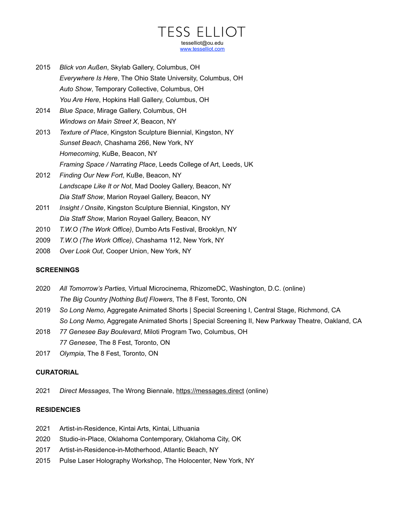# TESS ELLIOT tesselliot@ou.edu [www.tesselliot.com](http://www.tesselliot.com)

- 2015 *Blick von Außen*, Skylab Gallery, Columbus, OH *Everywhere Is Here*, The Ohio State University, Columbus, OH *Auto Show*, Temporary Collective, Columbus, OH *You Are Here*, Hopkins Hall Gallery, Columbus, OH
- 2014 *Blue Space*, Mirage Gallery, Columbus, OH *Windows on Main Street X*, Beacon, NY
- 2013 *Texture of Place*, Kingston Sculpture Biennial, Kingston, NY *Sunset Beach*, Chashama 266, New York, NY *Homecoming*, KuBe, Beacon, NY *Framing Space / Narrating Place*, Leeds College of Art, Leeds, UK
- 2012 *Finding Our New Fort*, KuBe, Beacon, NY *Landscape Like It or Not*, Mad Dooley Gallery, Beacon, NY *Dia Staff Show*, Marion Royael Gallery, Beacon, NY
- 2011 *Insight / Onsite*, Kingston Sculpture Biennial, Kingston, NY *Dia Staff Show*, Marion Royael Gallery, Beacon, NY
- 2010 *T.W.O (The Work Office)*, Dumbo Arts Festival, Brooklyn, NY
- 2009 *T.W.O (The Work Office)*, Chashama 112, New York, NY
- 2008 *Over Look Out*, Cooper Union, New York, NY

### **SCREENINGS**

- 2020 *All Tomorrow's Parties,* Virtual Microcinema, RhizomeDC, Washington, D.C. (online) *The Big Country [Nothing But] Flowers*, The 8 Fest, Toronto, ON
- 2019 *So Long Nemo,* Aggregate Animated Shorts | Special Screening I, Central Stage, Richmond, CA *So Long Nemo,* Aggregate Animated Shorts | Special Screening II, New Parkway Theatre, Oakland, CA
- 2018 *77 Genesee Bay Boulevard*, Miloti Program Two, Columbus, OH *77 Genesee*, The 8 Fest, Toronto, ON
- 2017 *Olympia*, The 8 Fest, Toronto, ON

### **CURATORIAL**

2021 *Direct Messages*, The Wrong Biennale,<https://messages.direct> (online)

### **RESIDENCIES**

- 2021 Artist-in-Residence, Kintai Arts, Kintai, Lithuania
- 2020 Studio-in-Place, Oklahoma Contemporary, Oklahoma City, OK
- 2017 Artist-in-Residence-in-Motherhood, Atlantic Beach, NY
- 2015 Pulse Laser Holography Workshop, The Holocenter, New York, NY